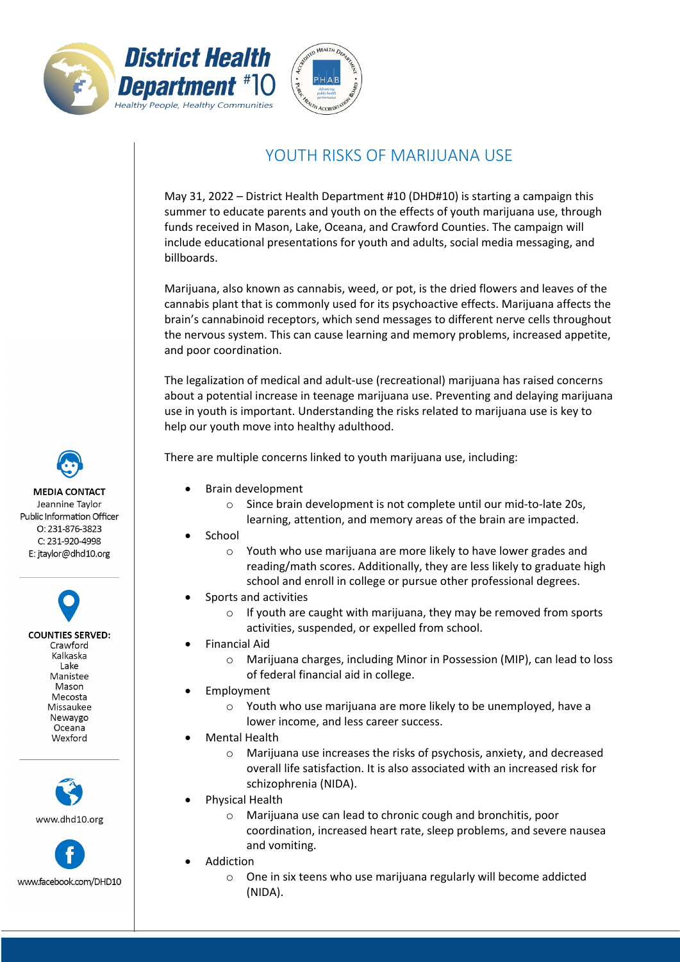



## YOUTH RISKS OF MARIJUANA USE

May 31, 2022 – District Health Department #10 (DHD#10) is starting a campaign this summer to educate parents and youth on the effects of youth marijuana use, through funds received in Mason, Lake, Oceana, and Crawford Counties. The campaign will include educational presentations for youth and adults, social media messaging, and billboards.

Marijuana, also known as cannabis, weed, or pot, is the dried flowers and leaves of the cannabis plant that is commonly used for its psychoactive effects. Marijuana affects the brain's cannabinoid receptors, which send messages to different nerve cells throughout the nervous system. This can cause learning and memory problems, increased appetite, and poor coordination.

The legalization of medical and adult-use (recreational) marijuana has raised concerns about a potential increase in teenage marijuana use. Preventing and delaying marijuana use in youth is important. Understanding the risks related to marijuana use is key to help our youth move into healthy adulthood.

There are multiple concerns linked to youth marijuana use, including:

- Brain development
	- o Since brain development is not complete until our mid-to-late 20s,
	- learning, attention, and memory areas of the brain are impacted.
- **School** 
	- o Youth who use marijuana are more likely to have lower grades and reading/math scores. Additionally, they are less likely to graduate high school and enroll in college or pursue other professional degrees.
- Sports and activities
	- $\circ$  If youth are caught with marijuana, they may be removed from sports activities, suspended, or expelled from school.
- Financial Aid
	- o Marijuana charges, including Minor in Possession (MIP), can lead to loss of federal financial aid in college.
- **Employment** 
	- o Youth who use marijuana are more likely to be unemployed, have a lower income, and less career success.
- Mental Health
	- o Marijuana use increases the risks of psychosis, anxiety, and decreased overall life satisfaction. It is also associated with an increased risk for schizophrenia (NIDA).
- Physical Health
	- o Marijuana use can lead to chronic cough and bronchitis, poor coordination, increased heart rate, sleep problems, and severe nausea and vomiting.
- **Addiction** 
	- o One in six teens who use marijuana regularly will become addicted (NIDA).

**MEDIA CONTACT** Jeannine Taylor Public Information Officer  $O: 231 - 876 - 3823$ 

> C: 231-920-4998 E: jtaylor@dhd10.org

> **COUNTIES SERVED:** Crawford Kalkaska Lake Manistee Mason Mecosta Missaukee Newaygo Oceana Wexford